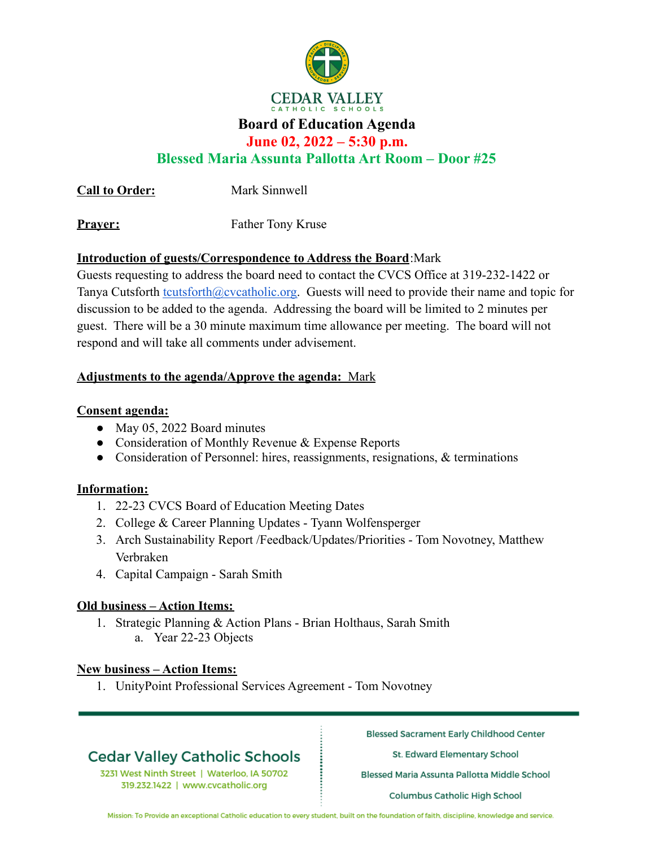

## **Board of Education Agenda**

**June 02, 2022 – 5:30 p.m.**

**Blessed Maria Assunta Pallotta Art Room – Door #25**

**Call to Order:** Mark Sinnwell

**Prayer:** Father Tony Kruse

## **Introduction of guests/Correspondence to Address the Board**:Mark

Guests requesting to address the board need to contact the CVCS Office at 319-232-1422 or Tanya Cutsforth [tcutsforth@cvcatholic.org.](mailto:tcutsforth@cvcatholic.org) Guests will need to provide their name and topic for discussion to be added to the agenda. Addressing the board will be limited to 2 minutes per guest. There will be a 30 minute maximum time allowance per meeting. The board will not respond and will take all comments under advisement.

## **Adjustments to the agenda/Approve the agenda:** Mark

## **Consent agenda:**

- May 05, 2022 Board minutes
- Consideration of Monthly Revenue & Expense Reports
- Consideration of Personnel: hires, reassignments, resignations, & terminations

### **Information:**

- 1. 22-23 CVCS Board of Education Meeting Dates
- 2. College & Career Planning Updates Tyann Wolfensperger
- 3. Arch Sustainability Report /Feedback/Updates/Priorities Tom Novotney, Matthew Verbraken
- 4. Capital Campaign Sarah Smith

### **Old business – Action Items:**

1. Strategic Planning & Action Plans - Brian Holthaus, Sarah Smith a. Year 22-23 Objects

### **New business – Action Items:**

1. UnityPoint Professional Services Agreement - Tom Novotney

# **Cedar Valley Catholic Schools**

3231 West Ninth Street | Waterloo, IA 50702 319.232.1422 | www.cvcatholic.org

**Blessed Sacrament Early Childhood Center** 

St. Edward Elementary School

Blessed Maria Assunta Pallotta Middle School

Columbus Catholic High School

Mission: To Provide an exceptional Catholic education to every student, built on the foundation of faith, discipline, knowledge and service.